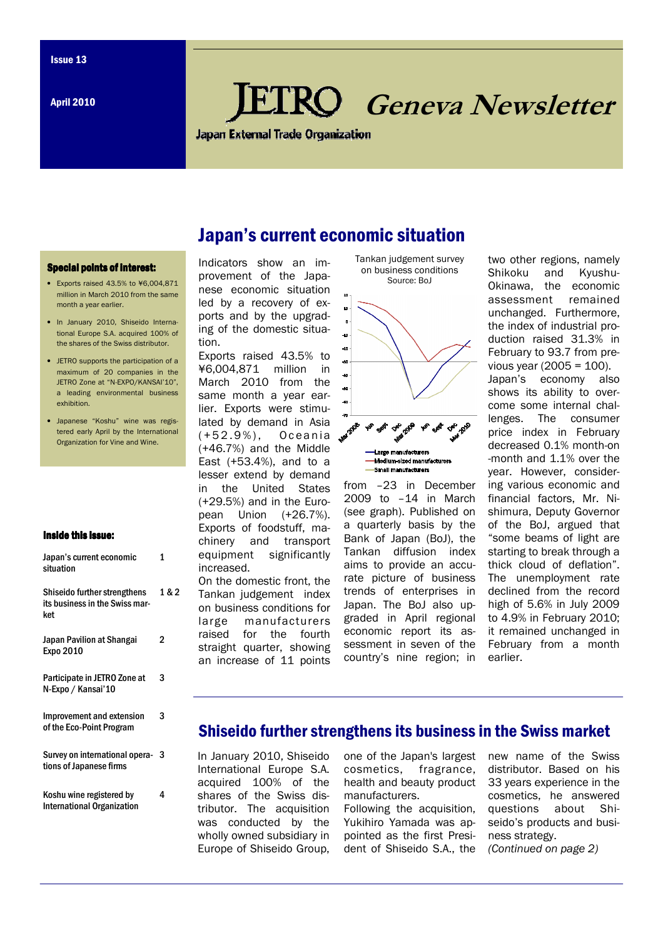April 2010

# RO Geneva Newsletter

**Japan External Trade Organization** 

#### Special points of interest:

- Exports raised 43.5% to ¥6,004,871 million in March 2010 from the same month a year earlier.
- In January 2010, Shiseido International Europe S.A. acquired 100% of the shares of the Swiss distributor.
- **IFTRO** supports the participation of a maximum of 20 companies in the JETRO Zone at "N-EXPO/KANSAI'10", a leading environmental business exhibition.
- Japanese "Koshu" wine was registered early April by the International Organization for Vine and Wine.

#### Inside this issue:

| Japan's current economic<br>situation                                 | 1     |
|-----------------------------------------------------------------------|-------|
| Shiseido further strengthens<br>its business in the Swiss mar-<br>ket | 1 & 2 |
| Japan Pavilion at Shangai<br>Expo 2010                                | 2     |
| Participate in JETRO Zone at<br>N-Expo / Kansai'10                    | 3     |
| Improvement and extension<br>of the Eco-Point Program                 | 3     |
| Survey on international opera-<br>tions of Japanese firms             | 3     |
| Koshu wine registered by<br><b>International Organization</b>         | 4     |

Indicators show an improvement of the Japanese economic situation led by a recovery of exports and by the upgrading of the domestic situation.

Exports raised 43.5% to ¥6,004,871 million in March 2010 from the same month a year earlier. Exports were stimulated by demand in Asia (+52.9%), Oceania (+46.7%) and the Middle East (+53.4%), and to a lesser extend by demand in the United States (+29.5%) and in the European Union (+26.7%). Exports of foodstuff, machinery and transport equipment significantly increased.

On the domestic front, the Tankan judgement index on business conditions for large manufacturers raised for the fourth straight quarter, showing an increase of 11 points



from –23 in December 2009 to –14 in March (see graph). Published on a quarterly basis by the Bank of Japan (BoJ), the Tankan diffusion index aims to provide an accurate picture of business trends of enterprises in Japan. The BoJ also upgraded in April regional economic report its assessment in seven of the country's nine region; in

two other regions, namely Shikoku and Kyushu-Okinawa, the economic assessment remained unchanged. Furthermore, the index of industrial production raised 31.3% in February to 93.7 from previous year (2005 = 100). Japan's economy also shows its ability to overcome some internal challenges. The consumer price index in February decreased 0.1% month-on -month and 1.1% over the year. However, considering various economic and financial factors, Mr. Nishimura, Deputy Governor of the BoJ, argued that "some beams of light are starting to break through a thick cloud of deflation". The unemployment rate declined from the record high of 5.6% in July 2009 to 4.9% in February 2010; it remained unchanged in February from a month earlier.

## Shiseido further strengthens its business in the Swiss market

In January 2010, Shiseido International Europe S.A. acquired 100% of the shares of the Swiss distributor. The acquisition was conducted by the wholly owned subsidiary in Europe of Shiseido Group,

one of the Japan's largest cosmetics, fragrance, health and beauty product manufacturers.

Following the acquisition, Yukihiro Yamada was appointed as the first President of Shiseido S.A., the new name of the Swiss distributor. Based on his 33 years experience in the cosmetics, he answered questions about Shiseido's products and business strategy. (Continued on page 2)

# Japan's current economic situation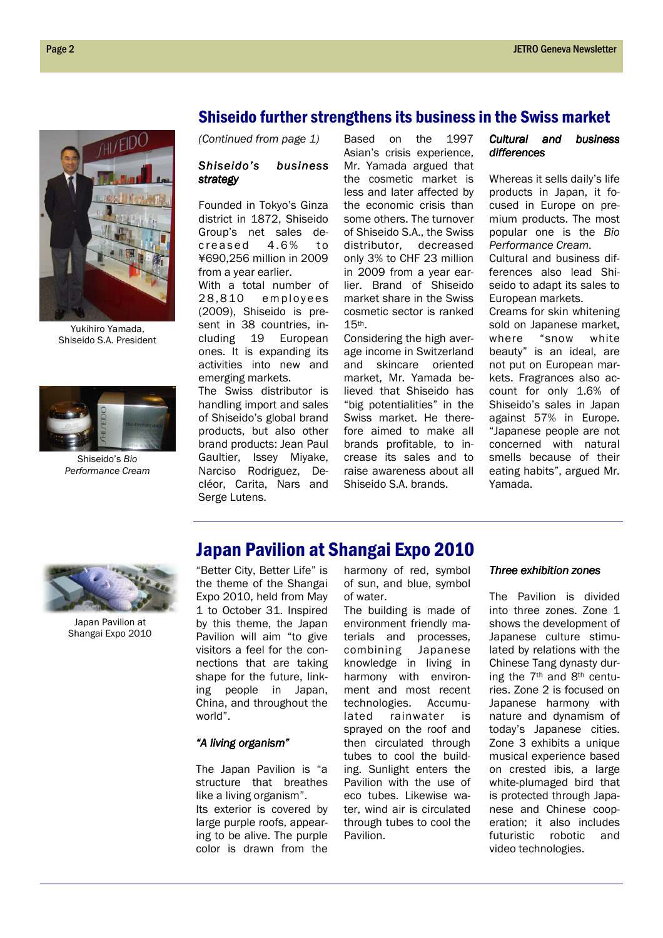

Yukihiro Yamada, Shiseido S.A. President



Shiseido's Bio Performance Cream

### Shiseido further strengthens its business in the Swiss market

(Continued from page 1)

#### Shiseido's business strategy

Founded in Tokyo's Ginza district in 1872, Shiseido Group's net sales de $c$  reased  $4.6\%$  to ¥690,256 million in 2009 from a year earlier. With a total number of 28,810 employees (2009), Shiseido is present in 38 countries, including 19 European ones. It is expanding its activities into new and emerging markets.

The Swiss distributor is handling import and sales of Shiseido's global brand products, but also other brand products: Jean Paul Gaultier, Issey Miyake, Narciso Rodriguez, Decléor, Carita, Nars and Serge Lutens.

Based on the 1997 Asian's crisis experience, Mr. Yamada argued that the cosmetic market is less and later affected by the economic crisis than some others. The turnover of Shiseido S.A., the Swiss distributor, decreased only 3% to CHF 23 million in 2009 from a year earlier. Brand of Shiseido market share in the Swiss cosmetic sector is ranked 15th.

Considering the high average income in Switzerland and skincare oriented market, Mr. Yamada believed that Shiseido has "big potentialities" in the Swiss market. He therefore aimed to make all brands profitable, to increase its sales and to raise awareness about all Shiseido S.A. brands.

#### Cultural and business differences

Whereas it sells daily's life products in Japan, it focused in Europe on premium products. The most popular one is the Bio Performance Cream. Cultural and business dif-

ferences also lead Shiseido to adapt its sales to European markets.

Creams for skin whitening sold on Japanese market, where "snow white beauty" is an ideal, are not put on European markets. Fragrances also account for only 1.6% of Shiseido's sales in Japan against 57% in Europe. "Japanese people are not concerned with natural smells because of their eating habits", argued Mr. Yamada.



Japan Pavilion at Shangai Expo 2010

# Japan Pavilion at Shangai Expo 2010

"Better City, Better Life" is the theme of the Shangai Expo 2010, held from May 1 to October 31. Inspired by this theme, the Japan Pavilion will aim "to give visitors a feel for the connections that are taking shape for the future, linking people in Japan, China, and throughout the world".

#### "A living organism"

The Japan Pavilion is "a structure that breathes like a living organism". Its exterior is covered by large purple roofs, appearing to be alive. The purple color is drawn from the harmony of red, symbol of sun, and blue, symbol of water.

The building is made of environment friendly materials and processes, combining Japanese knowledge in living in harmony with environment and most recent technologies. Accumulated rainwater is sprayed on the roof and then circulated through tubes to cool the building. Sunlight enters the Pavilion with the use of eco tubes. Likewise water, wind air is circulated through tubes to cool the Pavilion.

#### Three exhibition zones

The Pavilion is divided into three zones. Zone 1 shows the development of Japanese culture stimulated by relations with the Chinese Tang dynasty during the 7th and 8th centuries. Zone 2 is focused on Japanese harmony with nature and dynamism of today's Japanese cities. Zone 3 exhibits a unique musical experience based on crested ibis, a large white-plumaged bird that is protected through Japanese and Chinese cooperation; it also includes futuristic robotic and video technologies.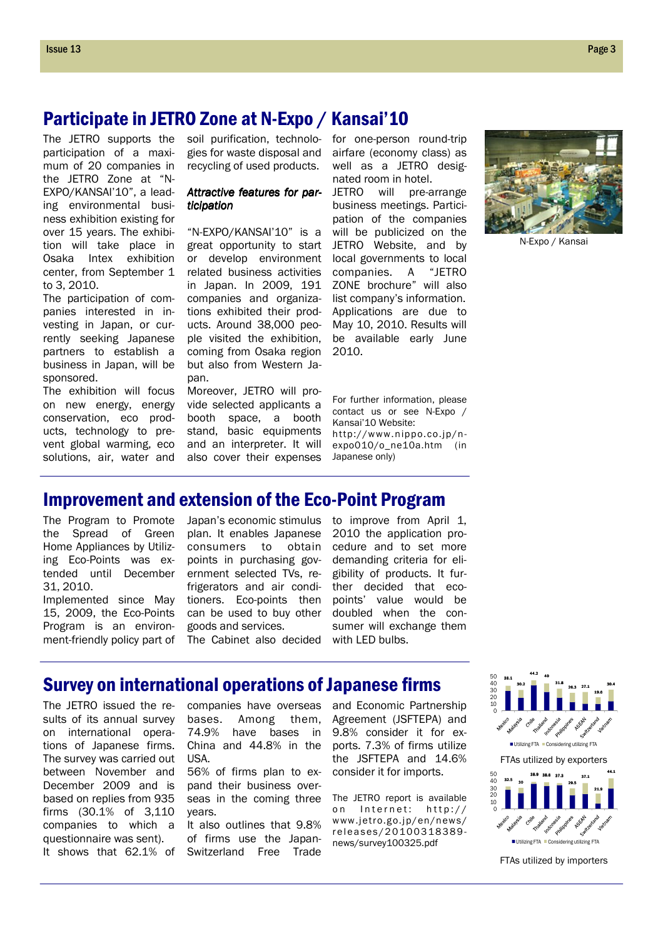# Participate in JETRO Zone at N-Expo / Kansai'10

The JETRO supports the participation of a maximum of 20 companies in the JETRO Zone at "N-EXPO/KANSAI'10", a leading environmental business exhibition existing for over 15 years. The exhibition will take place in Osaka Intex exhibition center, from September 1 to 3, 2010.

The participation of companies interested in investing in Japan, or currently seeking Japanese partners to establish a business in Japan, will be sponsored.

The exhibition will focus on new energy, energy conservation, eco products, technology to prevent global warming, eco solutions, air, water and soil purification, technologies for waste disposal and recycling of used products.

#### Attractive features for participation

"N-EXPO/KANSAI'10" is a great opportunity to start or develop environment related business activities in Japan. In 2009, 191 companies and organizations exhibited their products. Around 38,000 people visited the exhibition, coming from Osaka region but also from Western Japan.

Moreover, JETRO will provide selected applicants a booth space, a booth stand, basic equipments and an interpreter. It will also cover their expenses for one-person round-trip airfare (economy class) as well as a JETRO designated room in hotel.

JETRO will pre-arrange business meetings. Participation of the companies will be publicized on the JETRO Website, and by local governments to local companies. A "JETRO ZONE brochure" will also list company's information. Applications are due to May 10, 2010. Results will be available early June 2010.

For further information, please contact us or see N-Expo / Kansai'10 Website: http://www.nippo.co.jp/nexpo010/o\_ne10a.htm (in Japanese only)



N-Expo / Kansai

# Improvement and extension of the Eco-Point Program

the Spread of Green Home Appliances by Utilizing Eco-Points was extended until December 31, 2010.

Implemented since May 15, 2009, the Eco-Points Program is an environment-friendly policy part of plan. It enables Japanese consumers to obtain points in purchasing government selected TVs, refrigerators and air conditioners. Eco-points then can be used to buy other goods and services. The Cabinet also decided with LED bulbs.

2010 the application procedure and to set more demanding criteria for eligibility of products. It further decided that ecopoints' value would be doubled when the consumer will exchange them

#### The Program to Promote Japan's economic stimulus to improve from April 1,

FTAs utilized by exporters 26.3 27.1 19.6 0 50<br>40<br>30<br>20<br>10 Utilizing FTA D Considering utilizing FTA 32.5 <sub>30</sub> 38.9 38.6 37.3 29.5 37.1 21.9 0 40<br>30<br>20<br>10 50 **Utilizing FTA** Considering utilizing FTA

36.1 30.2 44.2 <sub>40</sub> 31.8

FTAs utilized by importers

30.4

44.1

The JETRO issued the results of its annual survey on international operations of Japanese firms. The survey was carried out between November and December 2009 and is based on replies from 935 firms (30.1% of 3,110 companies to which a questionnaire was sent). It shows that 62.1% of

companies have overseas bases. Among them, 74.9% have bases in China and 44.8% in the USA.

Survey on international operations of Japanese firms

56% of firms plan to expand their business overseas in the coming three years.

It also outlines that 9.8% of firms use the Japan-Switzerland Free Trade

and Economic Partnership Agreement (JSFTEPA) and 9.8% consider it for exports. 7.3% of firms utilize the JSFTEPA and 14.6% consider it for imports.

The JETRO report is available on Internet: http:// www.jetro.go.jp/en/news/ r e l e a s e s / 20100318389news/survey100325.pdf